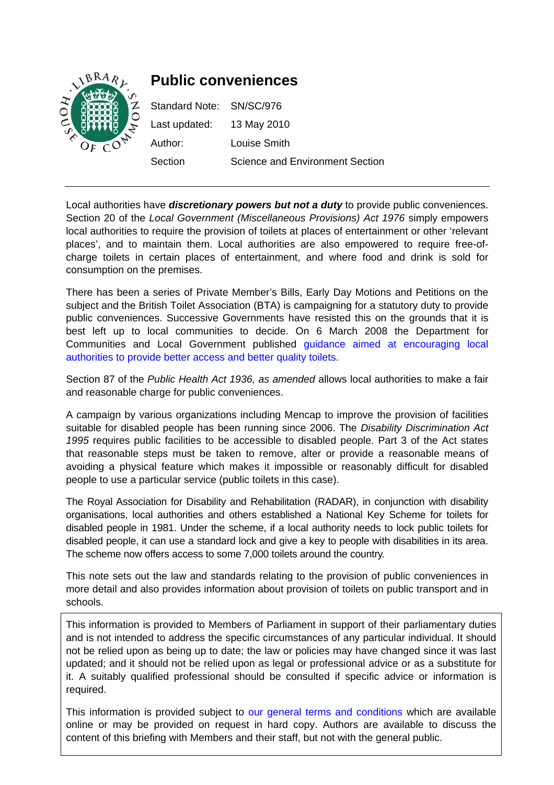

Local authorities have *discretionary powers but not a duty* to provide public conveniences. Section 20 of the *Local Government (Miscellaneous Provisions) Act 1976* simply empowers local authorities to require the provision of toilets at places of entertainment or other 'relevant places', and to maintain them. Local authorities are also empowered to require free-ofcharge toilets in certain places of entertainment, and where food and drink is sold for consumption on the premises.

There has been a series of Private Member's Bills, Early Day Motions and Petitions on the subject and the British Toilet Association (BTA) is campaigning for a statutory duty to provide public conveniences. Successive Governments have resisted this on the grounds that it is best left up to local communities to decide. On 6 March 2008 the Department for Communities and Local Government published [guidance aimed at encouraging local](http://www.communities.gov.uk/publications/localgovernment/publicaccesstoilets)  [authorities to provide better access and better quality toilets.](http://www.communities.gov.uk/publications/localgovernment/publicaccesstoilets)

Section 87 of the *Public Health Act 1936, as amended* allows local authorities to make a fair and reasonable charge for public conveniences.

A campaign by various organizations including Mencap to improve the provision of facilities suitable for disabled people has been running since 2006. The *Disability Discrimination Act 1995* requires public facilities to be accessible to disabled people. Part 3 of the Act states that reasonable steps must be taken to remove, alter or provide a reasonable means of avoiding a physical feature which makes it impossible or reasonably difficult for disabled people to use a particular service (public toilets in this case).

The Royal Association for Disability and Rehabilitation (RADAR), in conjunction with disability organisations, local authorities and others established a National Key Scheme for toilets for disabled people in 1981. Under the scheme, if a local authority needs to lock public toilets for disabled people, it can use a standard lock and give a key to people with disabilities in its area. The scheme now offers access to some 7,000 toilets around the country.

This note sets out the law and standards relating to the provision of public conveniences in more detail and also provides information about provision of toilets on public transport and in schools.

This information is provided to Members of Parliament in support of their parliamentary duties and is not intended to address the specific circumstances of any particular individual. It should not be relied upon as being up to date; the law or policies may have changed since it was last updated; and it should not be relied upon as legal or professional advice or as a substitute for it. A suitably qualified professional should be consulted if specific advice or information is required.

This information is provided subject to [our general terms and conditions](http://www.parliament.uk/site_information/parliamentary_copyright.cfm) which are available online or may be provided on request in hard copy. Authors are available to discuss the content of this briefing with Members and their staff, but not with the general public.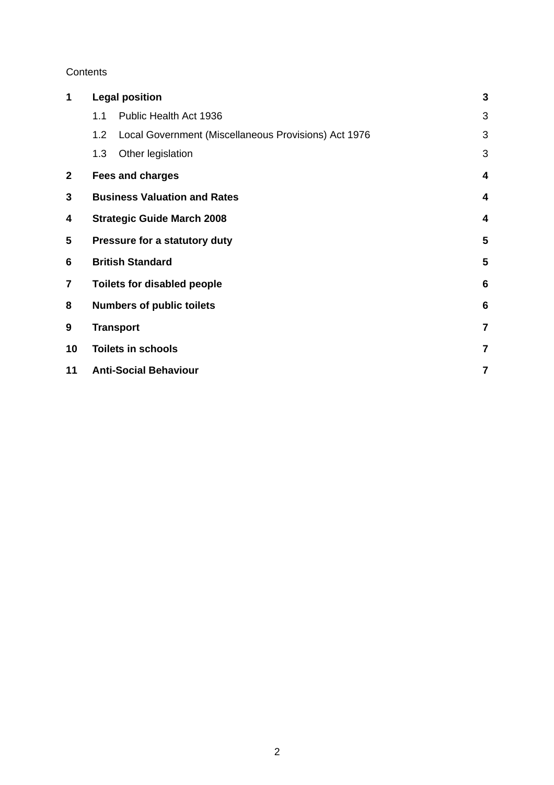#### **Contents**

| 1            | <b>Legal position</b>              |                                                      | 3                       |
|--------------|------------------------------------|------------------------------------------------------|-------------------------|
|              | 1.1                                | Public Health Act 1936                               | 3                       |
|              | 1.2                                | Local Government (Miscellaneous Provisions) Act 1976 | 3                       |
|              | 1.3                                | Other legislation                                    | 3                       |
| $\mathbf{2}$ | <b>Fees and charges</b>            |                                                      | $\overline{\mathbf{4}}$ |
| 3            |                                    | <b>Business Valuation and Rates</b>                  | 4                       |
| 4            | <b>Strategic Guide March 2008</b>  |                                                      | $\overline{\mathbf{4}}$ |
| 5            | Pressure for a statutory duty      |                                                      | 5                       |
| 6            | <b>British Standard</b>            |                                                      | 5                       |
| 7            | <b>Toilets for disabled people</b> |                                                      | $6\phantom{1}6$         |
| 8            | <b>Numbers of public toilets</b>   |                                                      | $6\phantom{1}6$         |
| 9            | <b>Transport</b>                   |                                                      | $\overline{7}$          |
| 10           | <b>Toilets in schools</b>          |                                                      | $\overline{\mathbf{z}}$ |
| 11           | <b>Anti-Social Behaviour</b>       |                                                      | $\overline{7}$          |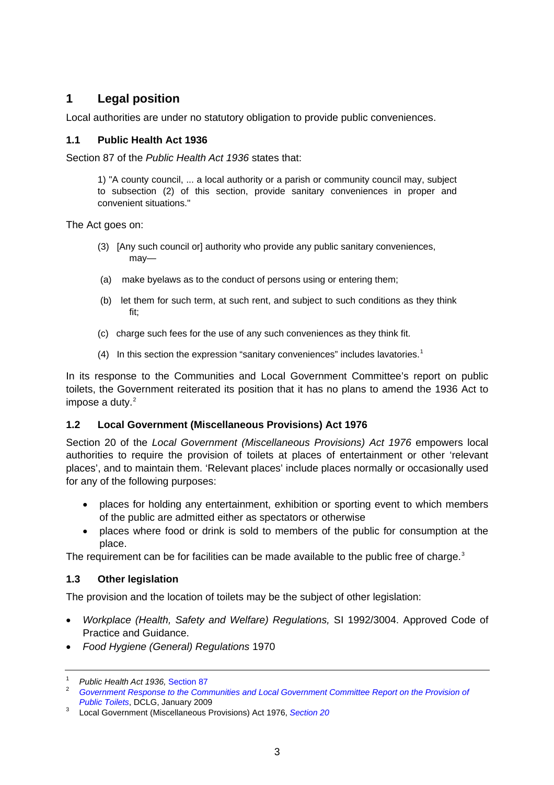# <span id="page-2-0"></span>**1 Legal position**

Local authorities are under no statutory obligation to provide public conveniences.

#### **1.1 Public Health Act 1936**

Section 87 of the *Public Health Act 1936* states that:

1) "A county council, ... a local authority or a parish or community council may, subject to subsection (2) of this section, provide sanitary conveniences in proper and convenient situations."

The Act goes on:

- (3) [Any such council or] authority who provide any public sanitary conveniences, may—
- (a) make byelaws as to the conduct of persons using or entering them;
- (b) let them for such term, at such rent, and subject to such conditions as they think fit;
- (c) charge such fees for the use of any such conveniences as they think fit.
- (4) In this section the expression "sanitary conveniences" includes lavatories.<sup>[1](#page-2-1)</sup>

In its response to the Communities and Local Government Committee's report on public toilets, the Government reiterated its position that it has no plans to amend the 1936 Act to impose a duty.<sup>[2](#page-2-2)</sup>

#### **1.2 Local Government (Miscellaneous Provisions) Act 1976**

Section 20 of the *Local Government (Miscellaneous Provisions) Act 1976* empowers local authorities to require the provision of toilets at places of entertainment or other 'relevant places', and to maintain them. 'Relevant places' include places normally or occasionally used for any of the following purposes:

- places for holding any entertainment, exhibition or sporting event to which members of the public are admitted either as spectators or otherwise
- places where food or drink is sold to members of the public for consumption at the place.

The requirement can be for facilities can be made available to the public free of charge.<sup>[3](#page-2-3)</sup>

#### **1.3 Other legislation**

The provision and the location of toilets may be the subject of other legislation:

- *Workplace (Health, Safety and Welfare) Regulations,* SI 1992/3004. Approved Code of Practice and Guidance.
- *Food Hygiene (General) Regulations* 1970

<span id="page-2-1"></span><sup>&</sup>lt;sup>1</sup> Public Health Act 1936, [Section 87](http://www.opsi.gov.uk/RevisedStatutes/Acts/ukpga/1936/cukpga_19360049_en_4#pt2-pb7-l1g58)

<span id="page-2-2"></span><sup>&</sup>lt;sup>2</sup> Government Response to the Communities and Local Government Committee Report on the Provision of **Public Toilets[,](http://www.official-documents.gov.uk/document/cm75/7530/7530.pdf) DCLG, January 2009** 

<span id="page-2-3"></span>Local Government (Miscellaneous Provisions) Act 1976, *[Section 20](http://www.opsi.gov.uk/RevisedStatutes/Acts/ukpga/1976/cukpga_19760057_en_3#pt1-pb6-l1g14)*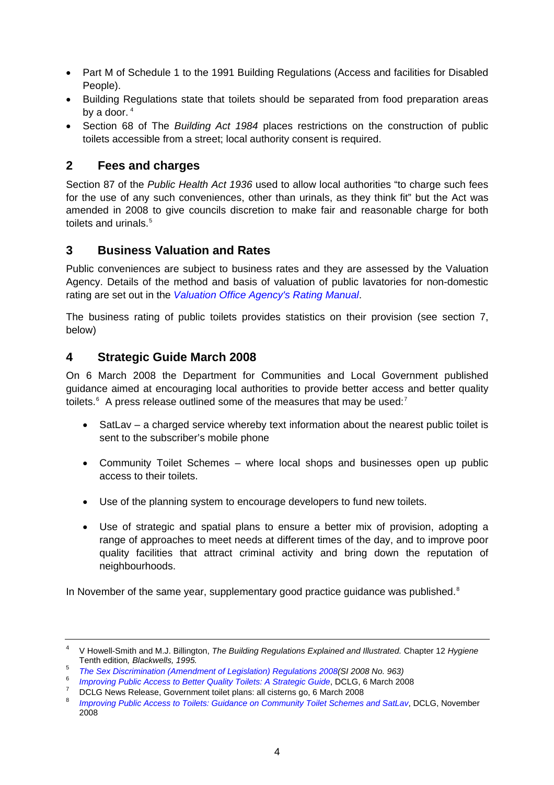- <span id="page-3-0"></span>• Part M of Schedule 1 to the 1991 Building Regulations (Access and facilities for Disabled People).
- Building Regulations state that toilets should be separated from food preparation areas by a door.  $4$
- Section 68 of The *Building Act 1984* places restrictions on the construction of public toilets accessible from a street; local authority consent is required.

### **2 Fees and charges**

Section 87 of the *Public Health Act 1936* used to allow local authorities "to charge such fees for the use of any such conveniences, other than urinals, as they think fit" but the Act was amended in 2008 to give councils discretion to make fair and reasonable charge for both toilets and urinals.<sup>[5](#page-3-2)</sup>

## **3 Business Valuation and Rates**

Public conveniences are subject to business rates and they are assessed by the Valuation Agency. Details of the method and basis of valuation of public lavatories for non-domestic rating are set out in the *[Valuation Office Agency's Rating Manual](http://www.voa.gov.uk/instructions/Index.htm)*.

The business rating of public toilets provides statistics on their provision (see section 7, below)

## **4 Strategic Guide March 2008**

On 6 March 2008 the Department for Communities and Local Government published guidance aimed at encouraging local authorities to provide better access and better quality toilets.<sup>[6](#page-3-3)</sup> A press release outlined some of the measures that may be used:<sup>[7](#page-3-4)</sup>

- SatLav a charged service whereby text information about the nearest public toilet is sent to the subscriber's mobile phone
- Community Toilet Schemes where local shops and businesses open up public access to their toilets.
- Use of the planning system to encourage developers to fund new toilets.
- Use of strategic and spatial plans to ensure a better mix of provision, adopting a range of approaches to meet needs at different times of the day, and to improve poor quality facilities that attract criminal activity and bring down the reputation of neighbourhoods.

In November of the same year, supplementary good practice guidance was published.<sup>[8](#page-3-5)</sup>

<span id="page-3-1"></span><sup>4</sup> V Howell-Smith and M.J. Billington, *The Building Regulations Explained and Illustrated.* Chapter 12 *Hygiene* Tenth edition*, Blackwells, 1995.*

<span id="page-3-2"></span><sup>5</sup> *[The Sex Discrimination \(Amendment of Legislation\) Regulations 2008\(](http://www.opsi.gov.uk/si/si2008/uksi_20080963_en_1)SI 2008 No. 963)*

<span id="page-3-3"></span><sup>6</sup> <sup>6</sup> Improving Public Access to Better Quality Toilets: A Strategic Guide[,](http://www.communities.gov.uk/publications/localgovernment/publicaccesstoilets) DCLG, 6 March 2008

<span id="page-3-4"></span>DCLG News Release, Government toilet plans: all cisterns go, 6 March 2008

<span id="page-3-5"></span><sup>8</sup> *[Improving Public Access to Toilets: Guidance on Community Toilet Schemes and SatLav](http://www.communities.gov.uk/publications/localgovernment/guidancetoiletschemes)*, DCLG, November 2008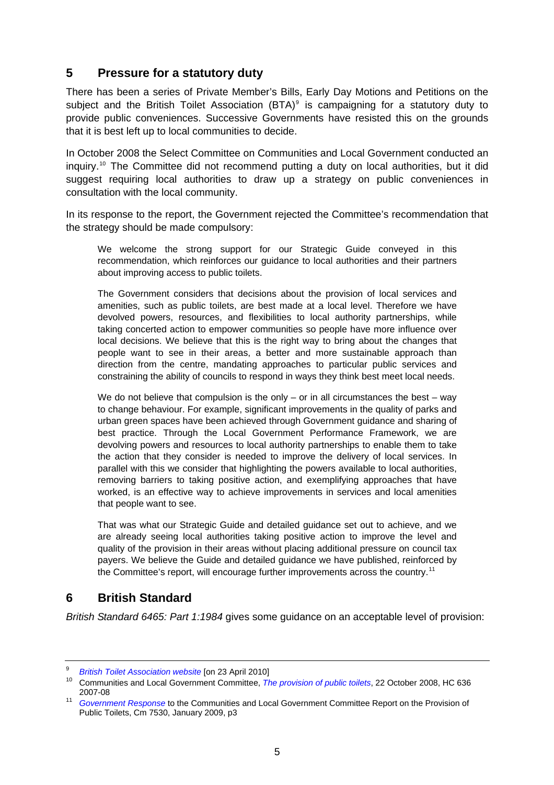### <span id="page-4-0"></span>**5 Pressure for a statutory duty**

There has been a series of Private Member's Bills, Early Day Motions and Petitions on the subject and the British Toilet Association  $(BTA)^9$  $(BTA)^9$  is campaigning for a statutory duty to provide public conveniences. Successive Governments have resisted this on the grounds that it is best left up to local communities to decide.

In October 2008 the Select Committee on Communities and Local Government conducted an inquiry.<sup>[10](#page-4-2)</sup> The Committee did not recommend putting a duty on local authorities, but it did suggest requiring local authorities to draw up a strategy on public conveniences in consultation with the local community.

In its response to the report, the Government rejected the Committee's recommendation that the strategy should be made compulsory:

We welcome the strong support for our Strategic Guide conveyed in this recommendation, which reinforces our guidance to local authorities and their partners about improving access to public toilets.

The Government considers that decisions about the provision of local services and amenities, such as public toilets, are best made at a local level. Therefore we have devolved powers, resources, and flexibilities to local authority partnerships, while taking concerted action to empower communities so people have more influence over local decisions. We believe that this is the right way to bring about the changes that people want to see in their areas, a better and more sustainable approach than direction from the centre, mandating approaches to particular public services and constraining the ability of councils to respond in ways they think best meet local needs.

We do not believe that compulsion is the only  $-$  or in all circumstances the best  $-$  way to change behaviour. For example, significant improvements in the quality of parks and urban green spaces have been achieved through Government guidance and sharing of best practice. Through the Local Government Performance Framework, we are devolving powers and resources to local authority partnerships to enable them to take the action that they consider is needed to improve the delivery of local services. In parallel with this we consider that highlighting the powers available to local authorities, removing barriers to taking positive action, and exemplifying approaches that have worked, is an effective way to achieve improvements in services and local amenities that people want to see.

That was what our Strategic Guide and detailed guidance set out to achieve, and we are already seeing local authorities taking positive action to improve the level and quality of the provision in their areas without placing additional pressure on council tax payers. We believe the Guide and detailed guidance we have published, reinforced by the Committee's report, will encourage further improvements across the country.<sup>[11](#page-4-3)</sup>

# **6 British Standard**

*British Standard 6465: Part 1:1984* gives some guidance on an acceptable level of provision:

<sup>9</sup>

<span id="page-4-2"></span><span id="page-4-1"></span><sup>&</sup>lt;sup>9</sup> British Toilet Association website [on 23 April 2010]<br><sup>10</sup> Communities and Local Government Committee, *[The provision of public toilets](http://www.publications.parliament.uk/pa/cm200708/cmselect/cmcomloc/636/63602.htm)*, 22 October 2008, HC 636<br>2007-08

<span id="page-4-3"></span><sup>&</sup>lt;sup>11</sup> *[Government Response](http://www.official-documents.gov.uk/document/cm75/7530/7530.pdf)* to the Communities and Local Government Committee Report on the Provision of Public Toilets, Cm 7530, January 2009, p3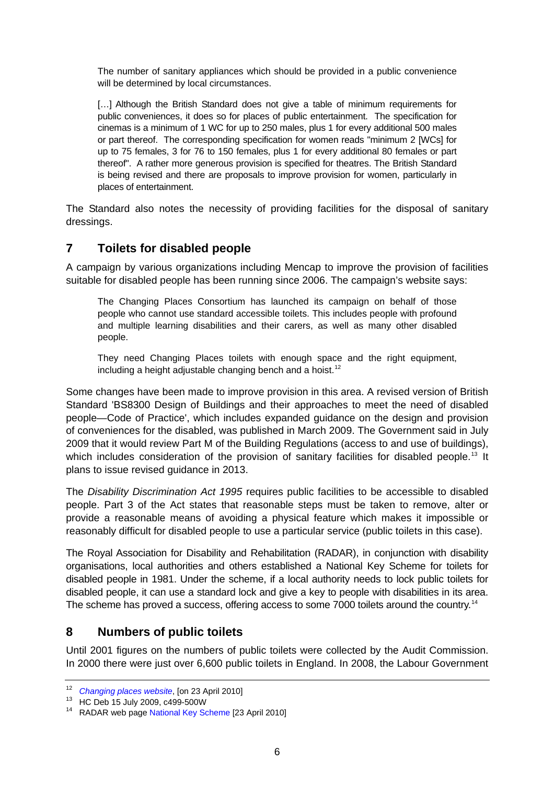<span id="page-5-0"></span>The number of sanitary appliances which should be provided in a public convenience will be determined by local circumstances.

[...] Although the British Standard does not give a table of minimum requirements for public conveniences, it does so for places of public entertainment. The specification for cinemas is a minimum of 1 WC for up to 250 males, plus 1 for every additional 500 males or part thereof. The corresponding specification for women reads "minimum 2 [WCs] for up to 75 females, 3 for 76 to 150 females, plus 1 for every additional 80 females or part thereof". A rather more generous provision is specified for theatres. The British Standard is being revised and there are proposals to improve provision for women, particularly in places of entertainment.

The Standard also notes the necessity of providing facilities for the disposal of sanitary dressings.

## **7 Toilets for disabled people**

A campaign by various organizations including Mencap to improve the provision of facilities suitable for disabled people has been running since 2006. The campaign's website says:

The Changing Places Consortium has launched its campaign on behalf of those people who cannot use standard accessible toilets. This includes people with profound and multiple learning disabilities and their carers, as well as many other disabled people.

They need Changing Places toilets with enough space and the right equipment, including a height adjustable changing bench and a hoist.<sup>[12](#page-5-1)</sup>

Some changes have been made to improve provision in this area. A revised version of British Standard 'BS8300 Design of Buildings and their approaches to meet the need of disabled people—Code of Practice', which includes expanded guidance on the design and provision of conveniences for the disabled, was published in March 2009. The Government said in July 2009 that it would review Part M of the Building Regulations (access to and use of buildings), which includes consideration of the provision of sanitary facilities for disabled people.<sup>[13](#page-5-2)</sup> It plans to issue revised guidance in 2013.

The *Disability Discrimination Act 1995* requires public facilities to be accessible to disabled people. Part 3 of the Act states that reasonable steps must be taken to remove, alter or provide a reasonable means of avoiding a physical feature which makes it impossible or reasonably difficult for disabled people to use a particular service (public toilets in this case).

The Royal Association for Disability and Rehabilitation (RADAR), in conjunction with disability organisations, local authorities and others established a National Key Scheme for toilets for disabled people in 1981. Under the scheme, if a local authority needs to lock public toilets for disabled people, it can use a standard lock and give a key to people with disabilities in its area. The scheme has proved a success, offering access to some 7000 toilets around the country.<sup>[14](#page-5-3)</sup>

#### **8 Numbers of public toilets**

Until 2001 figures on the numbers of public toilets were collected by the Audit Commission. In 2000 there were just over 6,600 public toilets in England. In 2008, the Labour Government

<span id="page-5-1"></span><sup>12</sup>*Changing places website*, [on 23 April 2010] 13 HC Deb 15 July 2009, c499-500W

<span id="page-5-2"></span>

<span id="page-5-3"></span><sup>&</sup>lt;sup>14</sup> RADAR web page [National Key Scheme](http://www.radar.org.uk/radarwebsite/default.aspx?tabid=41) [23 April 2010]